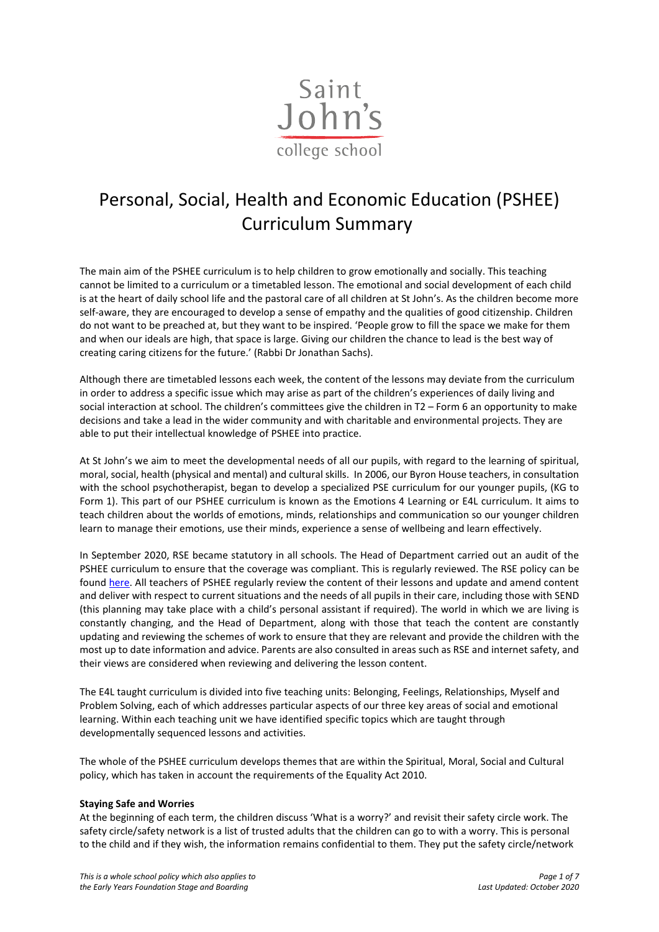

# Personal, Social, Health and Economic Education (PSHEE) Curriculum Summary

The main aim of the PSHEE curriculum is to help children to grow emotionally and socially. This teaching cannot be limited to a curriculum or a timetabled lesson. The emotional and social development of each child is at the heart of daily school life and the pastoral care of all children at St John's. As the children become more self-aware, they are encouraged to develop a sense of empathy and the qualities of good citizenship. Children do not want to be preached at, but they want to be inspired. 'People grow to fill the space we make for them and when our ideals are high, that space is large. Giving our children the chance to lead is the best way of creating caring citizens for the future.' (Rabbi Dr Jonathan Sachs).

Although there are timetabled lessons each week, the content of the lessons may deviate from the curriculum in order to address a specific issue which may arise as part of the children's experiences of daily living and social interaction at school. The children's committees give the children in T2 – Form 6 an opportunity to make decisions and take a lead in the wider community and with charitable and environmental projects. They are able to put their intellectual knowledge of PSHEE into practice.

At St John's we aim to meet the developmental needs of all our pupils, with regard to the learning of spiritual, moral, social, health (physical and mental) and cultural skills. In 2006, our Byron House teachers, in consultation with the school psychotherapist, began to develop a specialized PSE curriculum for our younger pupils, (KG to Form 1). This part of our PSHEE curriculum is known as the Emotions 4 Learning or E4L curriculum. It aims to teach children about the worlds of emotions, minds, relationships and communication so our younger children learn to manage their emotions, use their minds, experience a sense of wellbeing and learn effectively.

In September 2020, RSE became statutory in all schools. The Head of Department carried out an audit of the PSHEE curriculum to ensure that the coverage was compliant. This is regularly reviewed. The RSE policy can be foun[d here.](https://www.sjcs.co.uk/sites/default/files/styles/Teaching%20%26%20Learning/Department%20Handbooks/Relationships%20and%20Sex%20Education%20Policy.pdf) All teachers of PSHEE regularly review the content of their lessons and update and amend content and deliver with respect to current situations and the needs of all pupils in their care, including those with SEND (this planning may take place with a child's personal assistant if required). The world in which we are living is constantly changing, and the Head of Department, along with those that teach the content are constantly updating and reviewing the schemes of work to ensure that they are relevant and provide the children with the most up to date information and advice. Parents are also consulted in areas such as RSE and internet safety, and their views are considered when reviewing and delivering the lesson content.

The E4L taught curriculum is divided into five teaching units: Belonging, Feelings, Relationships, Myself and Problem Solving, each of which addresses particular aspects of our three key areas of social and emotional learning. Within each teaching unit we have identified specific topics which are taught through developmentally sequenced lessons and activities.

The whole of the PSHEE curriculum develops themes that are within the Spiritual, Moral, Social and Cultural policy, which has taken in account the requirements of the Equality Act 2010.

#### **Staying Safe and Worries**

At the beginning of each term, the children discuss 'What is a worry?' and revisit their safety circle work. The safety circle/safety network is a list of trusted adults that the children can go to with a worry. This is personal to the child and if they wish, the information remains confidential to them. They put the safety circle/network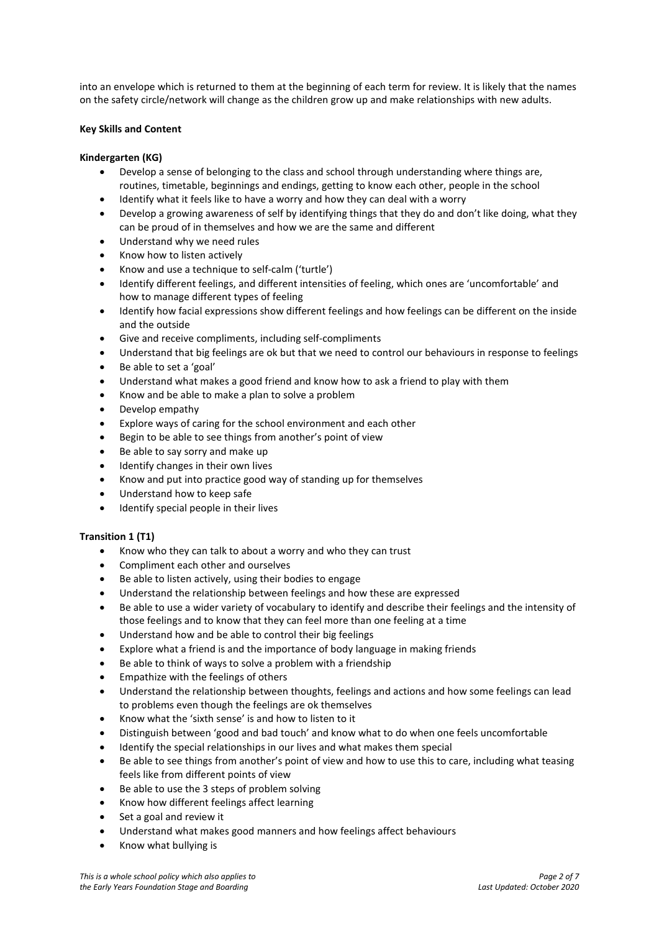into an envelope which is returned to them at the beginning of each term for review. It is likely that the names on the safety circle/network will change as the children grow up and make relationships with new adults.

#### **Key Skills and Content**

## **Kindergarten (KG)**

- Develop a sense of belonging to the class and school through understanding where things are, routines, timetable, beginnings and endings, getting to know each other, people in the school
- Identify what it feels like to have a worry and how they can deal with a worry
- Develop a growing awareness of self by identifying things that they do and don't like doing, what they can be proud of in themselves and how we are the same and different
- Understand why we need rules
- Know how to listen actively
- Know and use a technique to self-calm ('turtle')
- Identify different feelings, and different intensities of feeling, which ones are 'uncomfortable' and how to manage different types of feeling
- Identify how facial expressions show different feelings and how feelings can be different on the inside and the outside
- Give and receive compliments, including self-compliments
- Understand that big feelings are ok but that we need to control our behaviours in response to feelings
- Be able to set a 'goal'
- Understand what makes a good friend and know how to ask a friend to play with them
- Know and be able to make a plan to solve a problem
- Develop empathy
- Explore ways of caring for the school environment and each other
- Begin to be able to see things from another's point of view
- Be able to say sorry and make up
- Identify changes in their own lives
- Know and put into practice good way of standing up for themselves
- Understand how to keep safe
- Identify special people in their lives

#### **Transition 1 (T1)**

- Know who they can talk to about a worry and who they can trust
- Compliment each other and ourselves
- Be able to listen actively, using their bodies to engage
- Understand the relationship between feelings and how these are expressed
- Be able to use a wider variety of vocabulary to identify and describe their feelings and the intensity of those feelings and to know that they can feel more than one feeling at a time
- Understand how and be able to control their big feelings
- Explore what a friend is and the importance of body language in making friends
- Be able to think of ways to solve a problem with a friendship
- Empathize with the feelings of others
- Understand the relationship between thoughts, feelings and actions and how some feelings can lead to problems even though the feelings are ok themselves
- Know what the 'sixth sense' is and how to listen to it
- Distinguish between 'good and bad touch' and know what to do when one feels uncomfortable
- Identify the special relationships in our lives and what makes them special
- Be able to see things from another's point of view and how to use this to care, including what teasing feels like from different points of view
- Be able to use the 3 steps of problem solving
- Know how different feelings affect learning
- Set a goal and review it
- Understand what makes good manners and how feelings affect behaviours
- Know what bullying is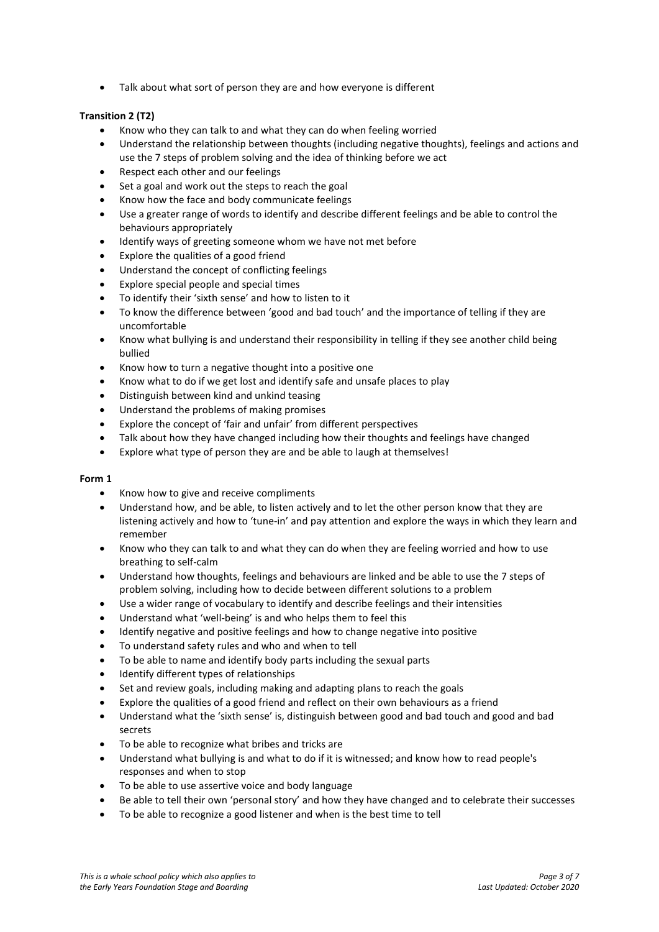• Talk about what sort of person they are and how everyone is different

## **Transition 2 (T2)**

- Know who they can talk to and what they can do when feeling worried
- Understand the relationship between thoughts (including negative thoughts), feelings and actions and use the 7 steps of problem solving and the idea of thinking before we act
- Respect each other and our feelings
- Set a goal and work out the steps to reach the goal
- Know how the face and body communicate feelings
- Use a greater range of words to identify and describe different feelings and be able to control the behaviours appropriately
- Identify ways of greeting someone whom we have not met before
- Explore the qualities of a good friend
- Understand the concept of conflicting feelings
- Explore special people and special times
- To identify their 'sixth sense' and how to listen to it
- To know the difference between 'good and bad touch' and the importance of telling if they are uncomfortable
- Know what bullying is and understand their responsibility in telling if they see another child being bullied
- Know how to turn a negative thought into a positive one
- Know what to do if we get lost and identify safe and unsafe places to play
- Distinguish between kind and unkind teasing
- Understand the problems of making promises
- Explore the concept of 'fair and unfair' from different perspectives
- Talk about how they have changed including how their thoughts and feelings have changed
- Explore what type of person they are and be able to laugh at themselves!

- Know how to give and receive compliments
- Understand how, and be able, to listen actively and to let the other person know that they are listening actively and how to 'tune-in' and pay attention and explore the ways in which they learn and remember
- Know who they can talk to and what they can do when they are feeling worried and how to use breathing to self-calm
- Understand how thoughts, feelings and behaviours are linked and be able to use the 7 steps of problem solving, including how to decide between different solutions to a problem
- Use a wider range of vocabulary to identify and describe feelings and their intensities
- Understand what 'well-being' is and who helps them to feel this
- Identify negative and positive feelings and how to change negative into positive
- To understand safety rules and who and when to tell
- To be able to name and identify body parts including the sexual parts
- Identify different types of relationships
- Set and review goals, including making and adapting plans to reach the goals
- Explore the qualities of a good friend and reflect on their own behaviours as a friend
- Understand what the 'sixth sense' is, distinguish between good and bad touch and good and bad secrets
- To be able to recognize what bribes and tricks are
- Understand what bullying is and what to do if it is witnessed; and know how to read people's responses and when to stop
- To be able to use assertive voice and body language
- Be able to tell their own 'personal story' and how they have changed and to celebrate their successes
- To be able to recognize a good listener and when is the best time to tell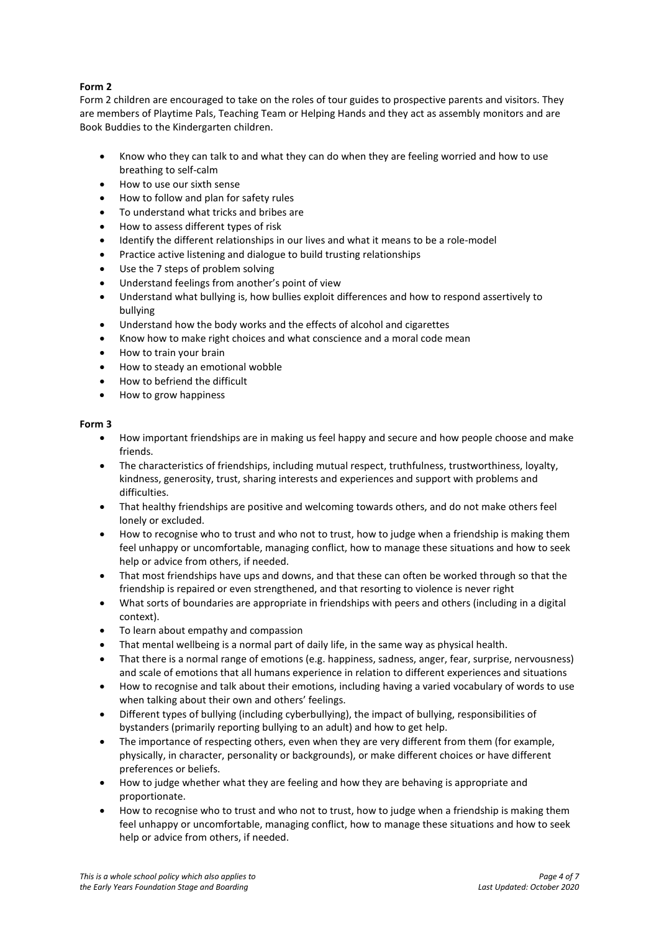# **Form 2**

Form 2 children are encouraged to take on the roles of tour guides to prospective parents and visitors. They are members of Playtime Pals, Teaching Team or Helping Hands and they act as assembly monitors and are Book Buddies to the Kindergarten children.

- Know who they can talk to and what they can do when they are feeling worried and how to use breathing to self-calm
- How to use our sixth sense
- How to follow and plan for safety rules
- To understand what tricks and bribes are
- How to assess different types of risk
- Identify the different relationships in our lives and what it means to be a role-model
- Practice active listening and dialogue to build trusting relationships
- Use the 7 steps of problem solving
- Understand feelings from another's point of view
- Understand what bullying is, how bullies exploit differences and how to respond assertively to bullying
- Understand how the body works and the effects of alcohol and cigarettes
- Know how to make right choices and what conscience and a moral code mean
- How to train your brain
- How to steady an emotional wobble
- How to befriend the difficult
- How to grow happiness

- How important friendships are in making us feel happy and secure and how people choose and make friends.
- The characteristics of friendships, including mutual respect, truthfulness, trustworthiness, loyalty, kindness, generosity, trust, sharing interests and experiences and support with problems and difficulties.
- That healthy friendships are positive and welcoming towards others, and do not make others feel lonely or excluded.
- How to recognise who to trust and who not to trust, how to judge when a friendship is making them feel unhappy or uncomfortable, managing conflict, how to manage these situations and how to seek help or advice from others, if needed.
- That most friendships have ups and downs, and that these can often be worked through so that the friendship is repaired or even strengthened, and that resorting to violence is never right
- What sorts of boundaries are appropriate in friendships with peers and others (including in a digital context).
- To learn about empathy and compassion
- That mental wellbeing is a normal part of daily life, in the same way as physical health.
- That there is a normal range of emotions (e.g. happiness, sadness, anger, fear, surprise, nervousness) and scale of emotions that all humans experience in relation to different experiences and situations
- How to recognise and talk about their emotions, including having a varied vocabulary of words to use when talking about their own and others' feelings.
- Different types of bullying (including cyberbullying), the impact of bullying, responsibilities of bystanders (primarily reporting bullying to an adult) and how to get help.
- The importance of respecting others, even when they are very different from them (for example, physically, in character, personality or backgrounds), or make different choices or have different preferences or beliefs.
- How to judge whether what they are feeling and how they are behaving is appropriate and proportionate.
- How to recognise who to trust and who not to trust, how to judge when a friendship is making them feel unhappy or uncomfortable, managing conflict, how to manage these situations and how to seek help or advice from others, if needed.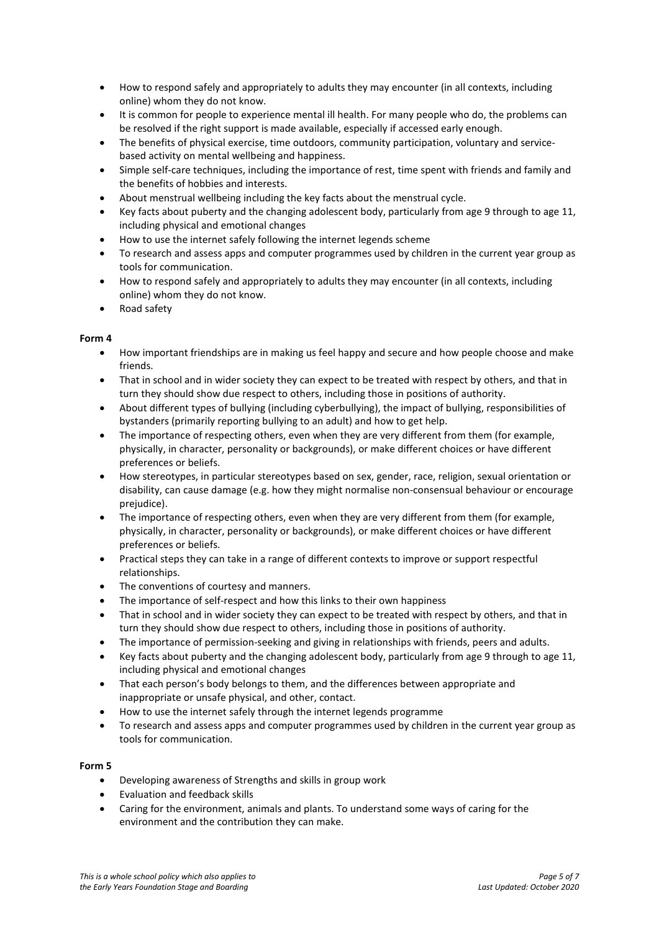- How to respond safely and appropriately to adults they may encounter (in all contexts, including online) whom they do not know.
- It is common for people to experience mental ill health. For many people who do, the problems can be resolved if the right support is made available, especially if accessed early enough.
- The benefits of physical exercise, time outdoors, community participation, voluntary and servicebased activity on mental wellbeing and happiness.
- Simple self-care techniques, including the importance of rest, time spent with friends and family and the benefits of hobbies and interests.
- About menstrual wellbeing including the key facts about the menstrual cycle.
- Key facts about puberty and the changing adolescent body, particularly from age 9 through to age 11, including physical and emotional changes
- How to use the internet safely following the internet legends scheme
- To research and assess apps and computer programmes used by children in the current year group as tools for communication.
- How to respond safely and appropriately to adults they may encounter (in all contexts, including online) whom they do not know.
- Road safety

## **Form 4**

- How important friendships are in making us feel happy and secure and how people choose and make friends.
- That in school and in wider society they can expect to be treated with respect by others, and that in turn they should show due respect to others, including those in positions of authority.
- About different types of bullying (including cyberbullying), the impact of bullying, responsibilities of bystanders (primarily reporting bullying to an adult) and how to get help.
- The importance of respecting others, even when they are very different from them (for example, physically, in character, personality or backgrounds), or make different choices or have different preferences or beliefs.
- How stereotypes, in particular stereotypes based on sex, gender, race, religion, sexual orientation or disability, can cause damage (e.g. how they might normalise non-consensual behaviour or encourage prejudice).
- The importance of respecting others, even when they are very different from them (for example, physically, in character, personality or backgrounds), or make different choices or have different preferences or beliefs.
- Practical steps they can take in a range of different contexts to improve or support respectful relationships.
- The conventions of courtesy and manners.
- The importance of self-respect and how this links to their own happiness
- That in school and in wider society they can expect to be treated with respect by others, and that in turn they should show due respect to others, including those in positions of authority.
- The importance of permission-seeking and giving in relationships with friends, peers and adults.
- Key facts about puberty and the changing adolescent body, particularly from age 9 through to age 11, including physical and emotional changes
- That each person's body belongs to them, and the differences between appropriate and inappropriate or unsafe physical, and other, contact.
- How to use the internet safely through the internet legends programme
- To research and assess apps and computer programmes used by children in the current year group as tools for communication.

- Developing awareness of Strengths and skills in group work
- Evaluation and feedback skills
- Caring for the environment, animals and plants. To understand some ways of caring for the environment and the contribution they can make.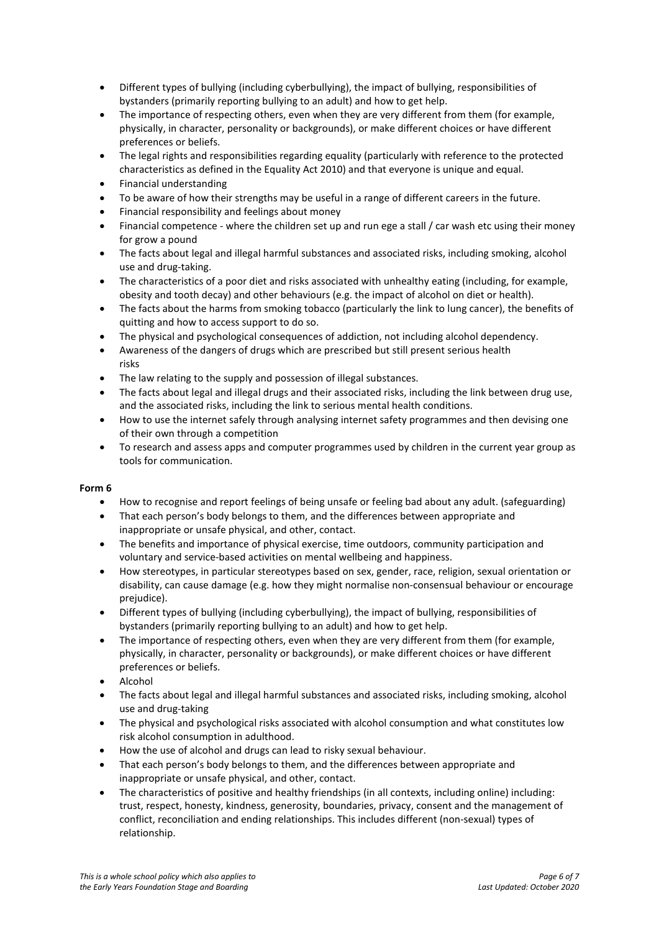- Different types of bullying (including cyberbullying), the impact of bullying, responsibilities of bystanders (primarily reporting bullying to an adult) and how to get help.
- The importance of respecting others, even when they are very different from them (for example, physically, in character, personality or backgrounds), or make different choices or have different preferences or beliefs.
- The legal rights and responsibilities regarding equality (particularly with reference to the protected characteristics as defined in the Equality Act 2010) and that everyone is unique and equal.
- Financial understanding
- To be aware of how their strengths may be useful in a range of different careers in the future.
- Financial responsibility and feelings about money
- Financial competence where the children set up and run ege a stall / car wash etc using their money for grow a pound
- The facts about legal and illegal harmful substances and associated risks, including smoking, alcohol use and drug-taking.
- The characteristics of a poor diet and risks associated with unhealthy eating (including, for example, obesity and tooth decay) and other behaviours (e.g. the impact of alcohol on diet or health).
- The facts about the harms from smoking tobacco (particularly the link to lung cancer), the benefits of quitting and how to access support to do so.
- The physical and psychological consequences of addiction, not including alcohol dependency.
- Awareness of the dangers of drugs which are prescribed but still present serious health risks
- The law relating to the supply and possession of illegal substances.
- The facts about legal and illegal drugs and their associated risks, including the link between drug use, and the associated risks, including the link to serious mental health conditions.
- How to use the internet safely through analysing internet safety programmes and then devising one of their own through a competition
- To research and assess apps and computer programmes used by children in the current year group as tools for communication.

- How to recognise and report feelings of being unsafe or feeling bad about any adult. (safeguarding)
- That each person's body belongs to them, and the differences between appropriate and inappropriate or unsafe physical, and other, contact.
- The benefits and importance of physical exercise, time outdoors, community participation and voluntary and service-based activities on mental wellbeing and happiness.
- How stereotypes, in particular stereotypes based on sex, gender, race, religion, sexual orientation or disability, can cause damage (e.g. how they might normalise non-consensual behaviour or encourage prejudice).
- Different types of bullying (including cyberbullying), the impact of bullying, responsibilities of bystanders (primarily reporting bullying to an adult) and how to get help.
- The importance of respecting others, even when they are very different from them (for example, physically, in character, personality or backgrounds), or make different choices or have different preferences or beliefs.
- Alcohol
- The facts about legal and illegal harmful substances and associated risks, including smoking, alcohol use and drug-taking
- The physical and psychological risks associated with alcohol consumption and what constitutes low risk alcohol consumption in adulthood.
- How the use of alcohol and drugs can lead to risky sexual behaviour.
- That each person's body belongs to them, and the differences between appropriate and inappropriate or unsafe physical, and other, contact.
- The characteristics of positive and healthy friendships (in all contexts, including online) including: trust, respect, honesty, kindness, generosity, boundaries, privacy, consent and the management of conflict, reconciliation and ending relationships. This includes different (non-sexual) types of relationship.